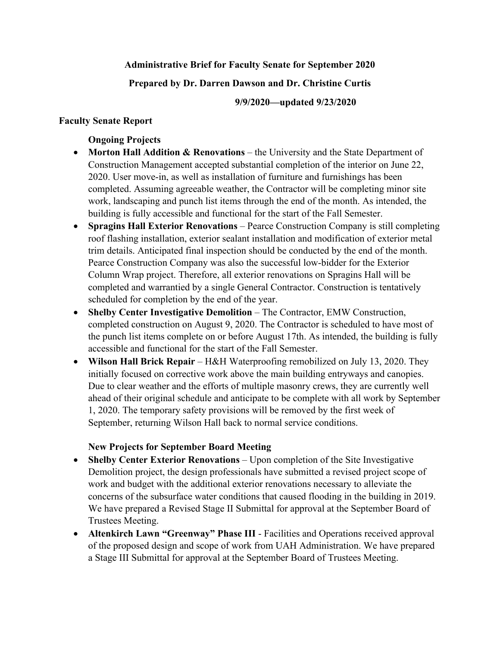## **Administrative Brief for Faculty Senate for September 2020**

## **Prepared by Dr. Darren Dawson and Dr. Christine Curtis**

## **9/9/2020—updated 9/23/2020**

## **Faculty Senate Report**

## **Ongoing Projects**

- **Morton Hall Addition & Renovations** the University and the State Department of Construction Management accepted substantial completion of the interior on June 22, 2020. User move-in, as well as installation of furniture and furnishings has been completed. Assuming agreeable weather, the Contractor will be completing minor site work, landscaping and punch list items through the end of the month. As intended, the building is fully accessible and functional for the start of the Fall Semester.
- **Spragins Hall Exterior Renovations** Pearce Construction Company is still completing roof flashing installation, exterior sealant installation and modification of exterior metal trim details. Anticipated final inspection should be conducted by the end of the month. Pearce Construction Company was also the successful low-bidder for the Exterior Column Wrap project. Therefore, all exterior renovations on Spragins Hall will be completed and warrantied by a single General Contractor. Construction is tentatively scheduled for completion by the end of the year.
- **Shelby Center Investigative Demolition** The Contractor, EMW Construction, completed construction on August 9, 2020. The Contractor is scheduled to have most of the punch list items complete on or before August 17th. As intended, the building is fully accessible and functional for the start of the Fall Semester.
- **Wilson Hall Brick Repair** H&H Waterproofing remobilized on July 13, 2020. They initially focused on corrective work above the main building entryways and canopies. Due to clear weather and the efforts of multiple masonry crews, they are currently well ahead of their original schedule and anticipate to be complete with all work by September 1, 2020. The temporary safety provisions will be removed by the first week of September, returning Wilson Hall back to normal service conditions.

## **New Projects for September Board Meeting**

- **Shelby Center Exterior Renovations** Upon completion of the Site Investigative Demolition project, the design professionals have submitted a revised project scope of work and budget with the additional exterior renovations necessary to alleviate the concerns of the subsurface water conditions that caused flooding in the building in 2019. We have prepared a Revised Stage II Submittal for approval at the September Board of Trustees Meeting.
- **Altenkirch Lawn "Greenway" Phase III** Facilities and Operations received approval of the proposed design and scope of work from UAH Administration. We have prepared a Stage III Submittal for approval at the September Board of Trustees Meeting.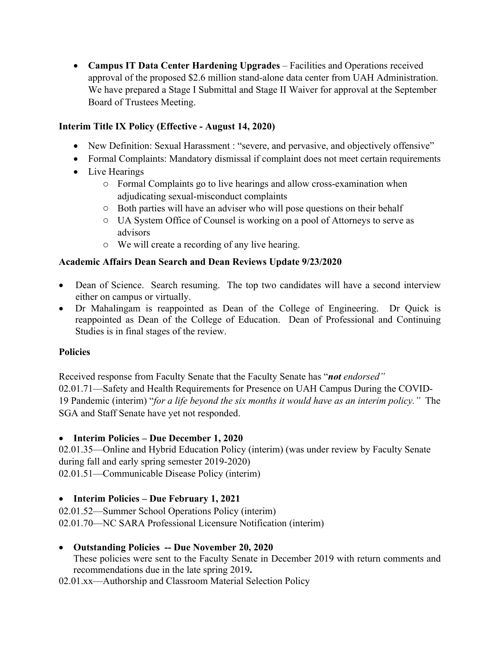**Campus IT Data Center Hardening Upgrades** – Facilities and Operations received approval of the proposed \$2.6 million stand-alone data center from UAH Administration. We have prepared a Stage I Submittal and Stage II Waiver for approval at the September Board of Trustees Meeting.

## **Interim Title IX Policy (Effective - August 14, 2020)**

- New Definition: Sexual Harassment : "severe, and pervasive, and objectively offensive"
- Formal Complaints: Mandatory dismissal if complaint does not meet certain requirements
- Live Hearings
	- o Formal Complaints go to live hearings and allow cross-examination when adjudicating sexual-misconduct complaints
	- o Both parties will have an adviser who will pose questions on their behalf
	- o UA System Office of Counsel is working on a pool of Attorneys to serve as advisors
	- o We will create a recording of any live hearing.

## **Academic Affairs Dean Search and Dean Reviews Update 9/23/2020**

- Dean of Science. Search resuming. The top two candidates will have a second interview either on campus or virtually.
- Dr Mahalingam is reappointed as Dean of the College of Engineering. Dr Quick is reappointed as Dean of the College of Education. Dean of Professional and Continuing Studies is in final stages of the review.

## **Policies**

Received response from Faculty Senate that the Faculty Senate has "*not endorsed"*  02.01.71—Safety and Health Requirements for Presence on UAH Campus During the COVID-19 Pandemic (interim) "*for a life beyond the six months it would have as an interim policy."* The SGA and Staff Senate have yet not responded.

## **Interim Policies – Due December 1, 2020**

02.01.35—Online and Hybrid Education Policy (interim) (was under review by Faculty Senate during fall and early spring semester 2019-2020) 02.01.51—Communicable Disease Policy (interim)

## **Interim Policies – Due February 1, 2021**

02.01.52—Summer School Operations Policy (interim) 02.01.70—NC SARA Professional Licensure Notification (interim)

## **Outstanding Policies -- Due November 20, 2020**

These policies were sent to the Faculty Senate in December 2019 with return comments and recommendations due in the late spring 2019**.** 

02.01.xx—Authorship and Classroom Material Selection Policy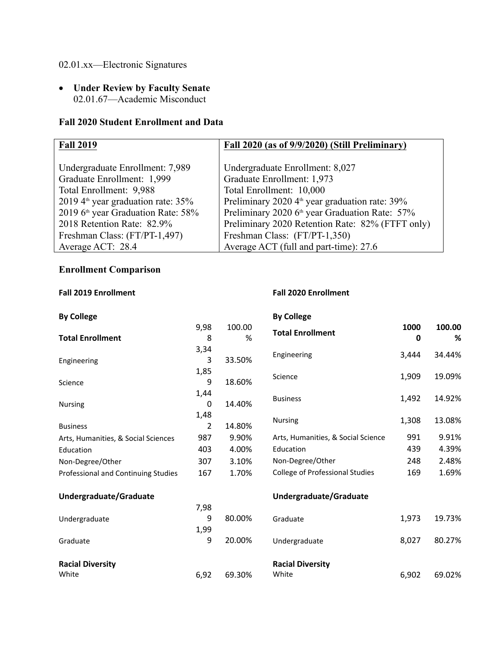## 02.01.xx—Electronic Signatures

 **Under Review by Faculty Senate**  02.01.67—Academic Misconduct

## **Fall 2020 Student Enrollment and Data**

| <b>Fall 2019</b>                               | Fall 2020 (as of 9/9/2020) (Still Preliminary)             |
|------------------------------------------------|------------------------------------------------------------|
|                                                |                                                            |
| Undergraduate Enrollment: 7,989                | Undergraduate Enrollment: 8,027                            |
| Graduate Enrollment: 1,999                     | Graduate Enrollment: 1,973                                 |
| Total Enrollment: 9,988                        | Total Enrollment: 10,000                                   |
| 2019 $4^{\text{th}}$ year graduation rate: 35% | Preliminary 2020 $4^{\text{th}}$ year graduation rate: 39% |
| 2019 6 <sup>th</sup> year Graduation Rate: 58% | Preliminary 2020 6 <sup>th</sup> year Graduation Rate: 57% |
| 2018 Retention Rate: 82.9%                     | Preliminary 2020 Retention Rate: 82% (FTFT only)           |
| Freshman Class: (FT/PT-1,497)                  | Freshman Class: (FT/PT-1,350)                              |
| Average ACT: 28.4                              | Average ACT (full and part-time): 27.6                     |

## **Enrollment Comparison**

## **Fall 2019 Enrollment Fall 2020 Enrollment**

| <b>By College</b>                   |      |        | <b>By College</b>                  |       |        |
|-------------------------------------|------|--------|------------------------------------|-------|--------|
|                                     | 9,98 | 100.00 | <b>Total Enrollment</b>            | 1000  | 100.00 |
| <b>Total Enrollment</b>             | 8    | %      |                                    | 0     | %      |
|                                     | 3,34 |        | Engineering                        | 3,444 | 34.44% |
| Engineering                         | 3    | 33.50% |                                    |       |        |
|                                     | 1,85 |        | Science                            | 1,909 | 19.09% |
| Science                             | 9    | 18.60% |                                    |       |        |
|                                     | 1,44 |        | <b>Business</b>                    | 1,492 | 14.92% |
| Nursing                             | 0    | 14.40% |                                    |       |        |
|                                     | 1,48 |        | Nursing                            | 1,308 | 13.08% |
| <b>Business</b>                     | 2    | 14.80% |                                    |       |        |
| Arts, Humanities, & Social Sciences | 987  | 9.90%  | Arts, Humanities, & Social Science | 991   | 9.91%  |
| Education                           | 403  | 4.00%  | Education                          | 439   | 4.39%  |
| Non-Degree/Other                    | 307  | 3.10%  | Non-Degree/Other                   | 248   | 2.48%  |
| Professional and Continuing Studies | 167  | 1.70%  | College of Professional Studies    | 169   | 1.69%  |
| Undergraduate/Graduate              |      |        | Undergraduate/Graduate             |       |        |
|                                     | 7,98 |        |                                    |       |        |
| Undergraduate                       | 9    | 80.00% | Graduate                           | 1,973 | 19.73% |
|                                     | 1,99 |        |                                    |       |        |
| Graduate                            | 9    | 20.00% | Undergraduate                      | 8,027 | 80.27% |
| <b>Racial Diversity</b>             |      |        | <b>Racial Diversity</b>            |       |        |
| White                               | 6,92 | 69.30% | White                              | 6,902 | 69.02% |
|                                     |      |        |                                    |       |        |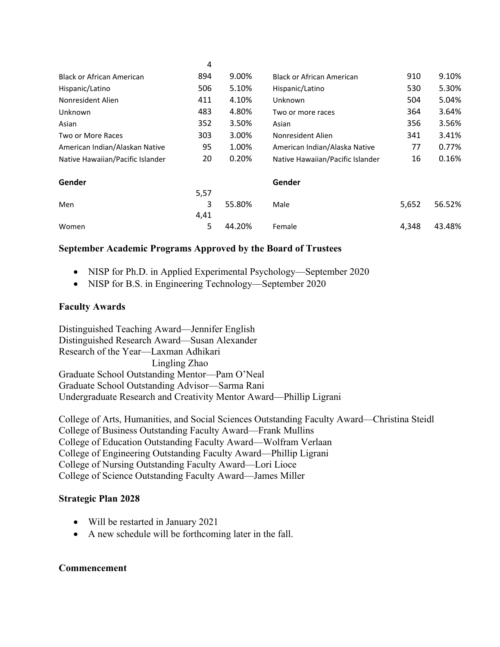|                                  | 4    |        |                                  |       |        |
|----------------------------------|------|--------|----------------------------------|-------|--------|
| <b>Black or African American</b> | 894  | 9.00%  | <b>Black or African American</b> | 910   | 9.10%  |
| Hispanic/Latino                  | 506  | 5.10%  | Hispanic/Latino                  | 530   | 5.30%  |
| Nonresident Alien                | 411  | 4.10%  | Unknown                          | 504   | 5.04%  |
| Unknown                          | 483  | 4.80%  | Two or more races                | 364   | 3.64%  |
| Asian                            | 352  | 3.50%  | Asian                            | 356   | 3.56%  |
| Two or More Races                | 303  | 3.00%  | Nonresident Alien                | 341   | 3.41%  |
| American Indian/Alaskan Native   | 95   | 1.00%  | American Indian/Alaska Native    | 77    | 0.77%  |
| Native Hawaiian/Pacific Islander | 20   | 0.20%  | Native Hawaiian/Pacific Islander | 16    | 0.16%  |
| Gender                           |      |        | Gender                           |       |        |
|                                  | 5,57 |        |                                  |       |        |
| Men                              | 3    | 55.80% | Male                             | 5,652 | 56.52% |
|                                  | 4,41 |        |                                  |       |        |
| Women                            | 5    | 44.20% | Female                           | 4,348 | 43.48% |
|                                  |      |        |                                  |       |        |

## **September Academic Programs Approved by the Board of Trustees**

- NISP for Ph.D. in Applied Experimental Psychology—September 2020
- NISP for B.S. in Engineering Technology—September 2020

## **Faculty Awards**

Distinguished Teaching Award—Jennifer English Distinguished Research Award—Susan Alexander Research of the Year—Laxman Adhikari Lingling Zhao Graduate School Outstanding Mentor—Pam O'Neal Graduate School Outstanding Advisor—Sarma Rani Undergraduate Research and Creativity Mentor Award—Phillip Ligrani

College of Arts, Humanities, and Social Sciences Outstanding Faculty Award—Christina Steidl College of Business Outstanding Faculty Award—Frank Mullins College of Education Outstanding Faculty Award—Wolfram Verlaan College of Engineering Outstanding Faculty Award—Phillip Ligrani College of Nursing Outstanding Faculty Award—Lori Lioce College of Science Outstanding Faculty Award—James Miller

## **Strategic Plan 2028**

- Will be restarted in January 2021
- A new schedule will be forthcoming later in the fall.

## **Commencement**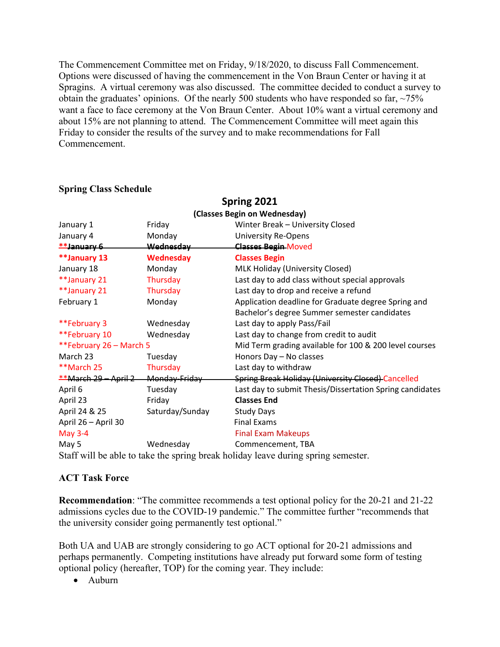The Commencement Committee met on Friday, 9/18/2020, to discuss Fall Commencement. Options were discussed of having the commencement in the Von Braun Center or having it at Spragins. A virtual ceremony was also discussed. The committee decided to conduct a survey to obtain the graduates' opinions. Of the nearly 500 students who have responded so far, ~75% want a face to face ceremony at the Von Braun Center. About 10% want a virtual ceremony and about 15% are not planning to attend. The Commencement Committee will meet again this Friday to consider the results of the survey and to make recommendations for Fall Commencement.

|                              |                  | Spring 2021                                                                       |  |  |  |  |  |
|------------------------------|------------------|-----------------------------------------------------------------------------------|--|--|--|--|--|
| (Classes Begin on Wednesday) |                  |                                                                                   |  |  |  |  |  |
| January 1                    | Friday           | Winter Break - University Closed                                                  |  |  |  |  |  |
| January 4                    | Monday           | <b>University Re-Opens</b>                                                        |  |  |  |  |  |
| $*$ January 6                | <b>Wednesday</b> | <b>Classes Begin-Moved</b>                                                        |  |  |  |  |  |
| **January 13                 | <b>Wednesday</b> | <b>Classes Begin</b>                                                              |  |  |  |  |  |
| January 18                   | Monday           | MLK Holiday (University Closed)                                                   |  |  |  |  |  |
| **January 21                 | Thursday         | Last day to add class without special approvals                                   |  |  |  |  |  |
| **January 21                 | Thursday         | Last day to drop and receive a refund                                             |  |  |  |  |  |
| February 1                   | Monday           | Application deadline for Graduate degree Spring and                               |  |  |  |  |  |
|                              |                  | Bachelor's degree Summer semester candidates                                      |  |  |  |  |  |
| **February 3                 | Wednesday        | Last day to apply Pass/Fail                                                       |  |  |  |  |  |
| **February 10                | Wednesday        | Last day to change from credit to audit                                           |  |  |  |  |  |
| **February 26 - March 5      |                  | Mid Term grading available for 100 & 200 level courses                            |  |  |  |  |  |
| March 23                     | Tuesday          | Honors Day - No classes                                                           |  |  |  |  |  |
| **March 25                   | Thursday         | Last day to withdraw                                                              |  |  |  |  |  |
| $*$ *March 29 - April 2      | Monday-Friday    | Spring Break Holiday (University Closed) Cancelled                                |  |  |  |  |  |
| April 6                      | Tuesday          | Last day to submit Thesis/Dissertation Spring candidates                          |  |  |  |  |  |
| April 23                     | Friday           | <b>Classes End</b>                                                                |  |  |  |  |  |
| April 24 & 25                | Saturday/Sunday  | <b>Study Days</b>                                                                 |  |  |  |  |  |
| April 26 - April 30          |                  | <b>Final Exams</b>                                                                |  |  |  |  |  |
| <b>May 3-4</b>               |                  | <b>Final Exam Makeups</b>                                                         |  |  |  |  |  |
| May 5                        | Wednesday        | Commencement, TBA                                                                 |  |  |  |  |  |
|                              |                  | Staff will be able to take the spring break holiday leave during spring semester. |  |  |  |  |  |

# **Spring Class Schedule**

## **ACT Task Force**

**Recommendation**: "The committee recommends a test optional policy for the 20-21 and 21-22 admissions cycles due to the COVID-19 pandemic." The committee further "recommends that the university consider going permanently test optional."

Both UA and UAB are strongly considering to go ACT optional for 20-21 admissions and perhaps permanently. Competing institutions have already put forward some form of testing optional policy (hereafter, TOP) for the coming year. They include:

Auburn